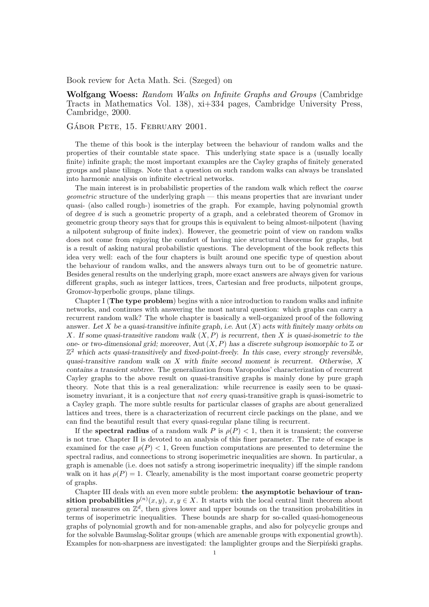Book review for Acta Math. Sci. (Szeged) on

Wolfgang Woess: Random Walks on Infinite Graphs and Groups (Cambridge Tracts in Mathematics Vol. 138), xi+334 pages, Cambridge University Press, Cambridge, 2000.

## GÁBOR PETE, 15. FEBRUARY 2001.

The theme of this book is the interplay between the behaviour of random walks and the properties of their countable state space. This underlying state space is a (usually locally finite) infinite graph; the most important examples are the Cayley graphs of finitely generated groups and plane tilings. Note that a question on such random walks can always be translated into harmonic analysis on infinite electrical networks.

The main interest is in probabilistic properties of the random walk which reflect the *coarse* geometric structure of the underlying graph — this means properties that are invariant under quasi- (also called rough-) isometries of the graph. For example, having polynomial growth of degree d is such a geometric property of a graph, and a celebrated theorem of Gromov in geometric group theory says that for groups this is equivalent to being almost-nilpotent (having a nilpotent subgroup of finite index). However, the geometric point of view on random walks does not come from enjoying the comfort of having nice structural theorems for graphs, but is a result of asking natural probabilistic questions. The development of the book reflects this idea very well: each of the four chapters is built around one specific type of question about the behaviour of random walks, and the answers always turn out to be of geometric nature. Besides general results on the underlying graph, more exact answers are always given for various different graphs, such as integer lattices, trees, Cartesian and free products, nilpotent groups, Gromov-hyperbolic groups, plane tilings.

Chapter I (The type problem) begins with a nice introduction to random walks and infinite networks, and continues with answering the most natural question: which graphs can carry a recurrent random walk? The whole chapter is basically a well-organized proof of the following answer. Let X be a quasi-transitive infinite graph, i.e. Aut  $(X)$  acts with finitely many orbits on X. If some quasi-transitive random walk  $(X, P)$  is recurrent, then X is quasi-isometric to the one- or two-dimensional grid; moreover, Aut  $(X, P)$  has a discrete subgroup isomorphic to  $\mathbb Z$  or  $\mathbb{Z}^2$  which acts quasi-transitively and fixed-point-freely. In this case, every strongly reversible, quasi-transitive random walk on  $X$  with finite second moment is recurrent. Otherwise,  $X$ contains a transient subtree. The generalization from Varopoulos' characterization of recurrent Cayley graphs to the above result on quasi-transitive graphs is mainly done by pure graph theory. Note that this is a real generalization: while recurrence is easily seen to be quasiisometry invariant, it is a conjecture that not every quasi-transitive graph is quasi-isometric to a Cayley graph. The more subtle results for particular classes of graphs are about generalized lattices and trees, there is a characterization of recurrent circle packings on the plane, and we can find the beautiful result that every quasi-regular plane tiling is recurrent.

If the **spectral radius** of a random walk P is  $\rho(P) < 1$ , then it is transient; the converse is not true. Chapter II is devoted to an analysis of this finer parameter. The rate of escape is examined for the case  $\rho(P) < 1$ , Green function computations are presented to determine the spectral radius, and connections to strong isoperimetric inequalities are shown. In particular, a graph is amenable (i.e. does not satisfy a strong isoperimetric inequality) iff the simple random walk on it has  $\rho(P) = 1$ . Clearly, amenability is the most important coarse geometric property of graphs.

Chapter III deals with an even more subtle problem: the asymptotic behaviour of transition probabilities  $p^{(n)}(x, y), x, y \in X$ . It starts with the local central limit theorem about general measures on  $\mathbb{Z}^d$ , then gives lower and upper bounds on the transition probabilities in terms of isoperimetric inequalities. These bounds are sharp for so-called quasi-homogeneous graphs of polynomial growth and for non-amenable graphs, and also for polycyclic groups and for the solvable Baumslag-Solitar groups (which are amenable groups with exponential growth). Examples for non-sharpness are investigated: the lamplighter groups and the Sierpinski graphs.